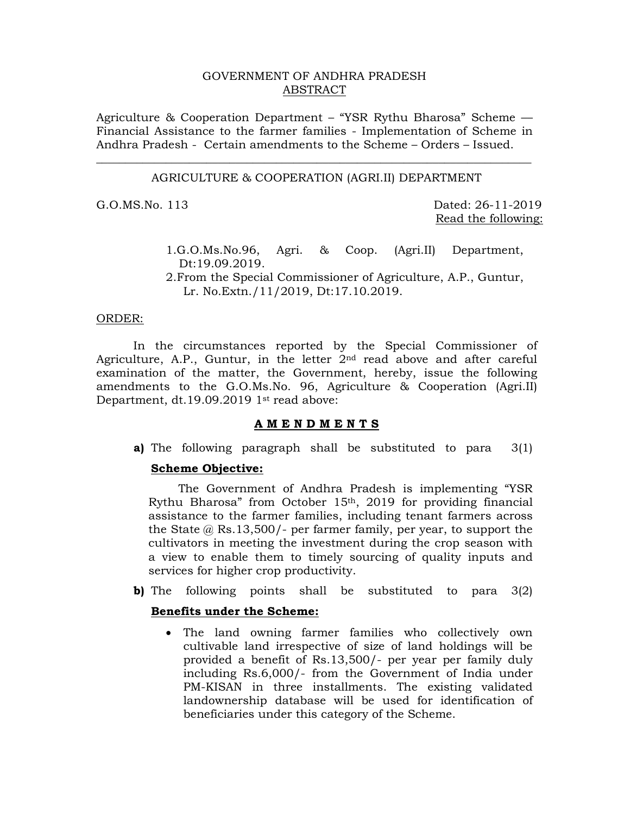# GOVERNMENT OF ANDHRA PRADESH ABSTRACT

Agriculture & Cooperation Department – "YSR Rythu Bharosa" Scheme –– Financial Assistance to the farmer families - Implementation of Scheme in Andhra Pradesh - Certain amendments to the Scheme – Orders – Issued.

# \_\_\_\_\_\_\_\_\_\_\_\_\_\_\_\_\_\_\_\_\_\_\_\_\_\_\_\_\_\_\_\_\_\_\_\_\_\_\_\_\_\_\_\_\_\_\_\_\_\_\_\_\_\_\_\_\_\_\_\_\_\_\_\_\_\_\_\_\_\_\_\_\_\_\_ AGRICULTURE & COOPERATION (AGRI.II) DEPARTMENT

G.O.MS.No. 113 Dated: 26-11-2019 Read the following:

- 1.G.O.Ms.No.96, Agri. & Coop. (Agri.II) Department, Dt:19.09.2019.
- 2.From the Special Commissioner of Agriculture, A.P., Guntur, Lr. No.Extn./11/2019, Dt:17.10.2019.

# ORDER:

 In the circumstances reported by the Special Commissioner of Agriculture, A.P., Guntur, in the letter  $2<sup>nd</sup>$  read above and after careful examination of the matter, the Government, hereby, issue the following amendments to the G.O.Ms.No. 96, Agriculture & Cooperation (Agri.II) Department, dt.19.09.2019 1<sup>st</sup> read above:

## **A M E N D M E N T S**

**a)** The following paragraph shall be substituted to para 3(1)

#### **Scheme Objective:**

 The Government of Andhra Pradesh is implementing "YSR Rythu Bharosa" from October 15<sup>th</sup>, 2019 for providing financial assistance to the farmer families, including tenant farmers across the State @ Rs.13,500/- per farmer family, per year, to support the cultivators in meeting the investment during the crop season with a view to enable them to timely sourcing of quality inputs and services for higher crop productivity.

**b)** The following points shall be substituted to para 3(2)

### **Benefits under the Scheme:**

• The land owning farmer families who collectively own cultivable land irrespective of size of land holdings will be provided a benefit of Rs.13,500/- per year per family duly including Rs.6,000/- from the Government of India under PM-KISAN in three installments. The existing validated landownership database will be used for identification of beneficiaries under this category of the Scheme.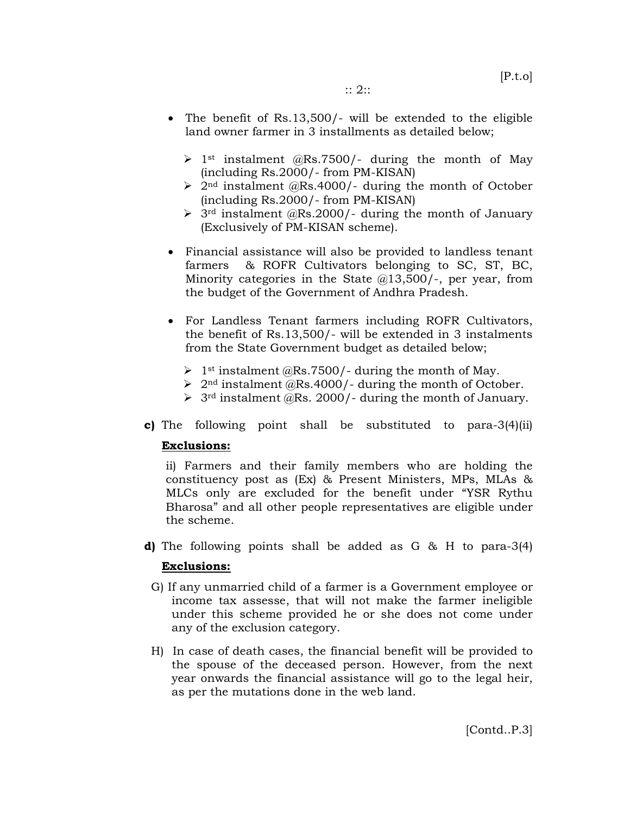- The benefit of Rs.13,500/- will be extended to the eligible land owner farmer in 3 installments as detailed below;
	- $\geq 1$ <sup>st</sup> instalment @Rs.7500/- during the month of May (including Rs.2000/- from PM-KISAN)
	- $\geq 2^{nd}$  instalment @Rs.4000/- during the month of October (including Rs.2000/- from PM-KISAN)
	- $\geq$  3<sup>rd</sup> instalment @Rs.2000/- during the month of January (Exclusively of PM-KISAN scheme).
- Financial assistance will also be provided to landless tenant farmers & ROFR Cultivators belonging to SC, ST, BC, Minority categories in the State @13,500/-, per year, from the budget of the Government of Andhra Pradesh.
- For Landless Tenant farmers including ROFR Cultivators, the benefit of Rs.13,500/- will be extended in 3 instalments from the State Government budget as detailed below;
	- $\triangleright$  1<sup>st</sup> instalment @Rs.7500/- during the month of May.
	- $\geq 2^{nd}$  instalment @Rs.4000/- during the month of October.
	- $\triangleright$  3<sup>rd</sup> instalment  $\ddot{\omega}$ Rs. 2000/- during the month of January.
- **c)** The following point shall be substituted to para-3(4)(ii)

# **Exclusions:**

ii) Farmers and their family members who are holding the constituency post as (Ex) & Present Ministers, MPs, MLAs & MLCs only are excluded for the benefit under "YSR Rythu Bharosa" and all other people representatives are eligible under the scheme.

**d)** The following points shall be added as G & H to para-3(4)

# **Exclusions:**

- G) If any unmarried child of a farmer is a Government employee or income tax assesse, that will not make the farmer ineligible under this scheme provided he or she does not come under any of the exclusion category.
- H) In case of death cases, the financial benefit will be provided to the spouse of the deceased person. However, from the next year onwards the financial assistance will go to the legal heir, as per the mutations done in the web land.

[Contd..P.3]